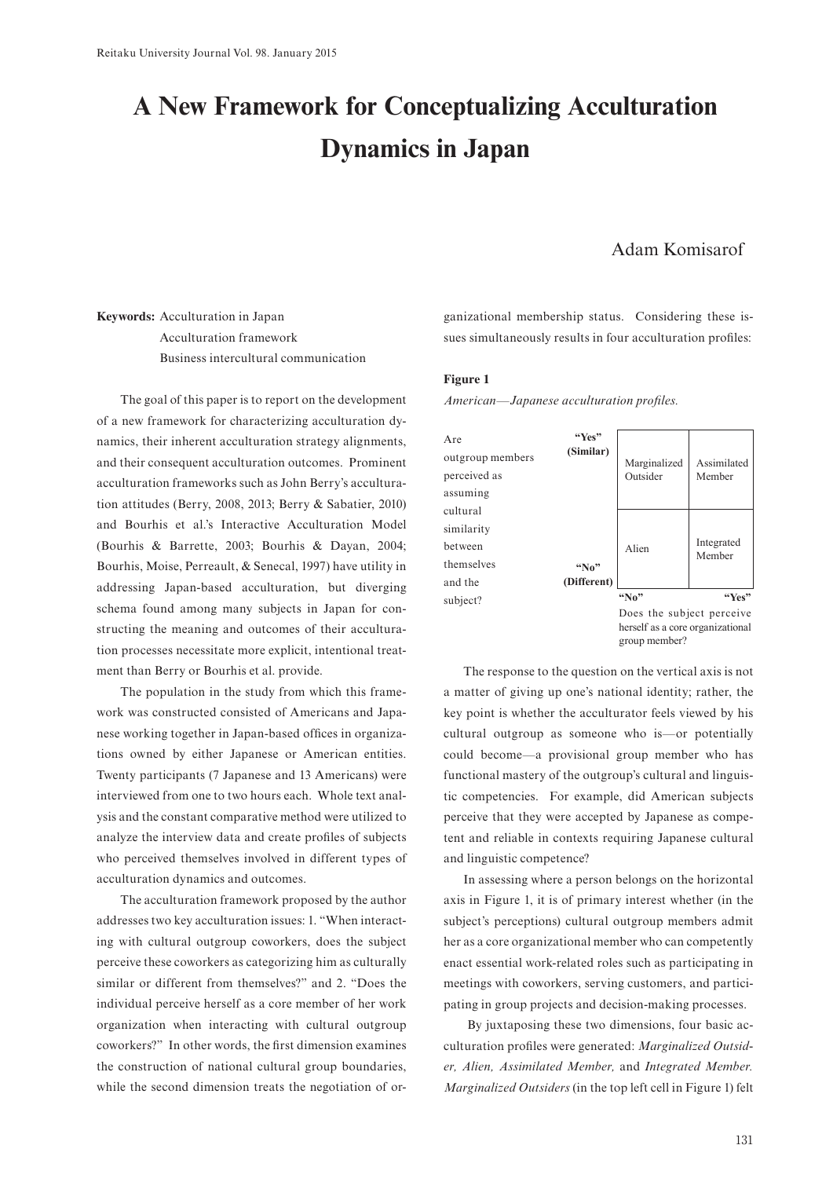# **A New Framework for Conceptualizing Acculturation Dynamics in Japan**

## Adam Komisarof

## **Keywords:** Acculturation in Japan Acculturation framework Business intercultural communication

The goal of this paper is to report on the development of a new framework for characterizing acculturation dynamics, their inherent acculturation strategy alignments, and their consequent acculturation outcomes. Prominent acculturation frameworks such as John Berry's acculturation attitudes (Berry, 2008, 2013; Berry & Sabatier, 2010) and Bourhis et al.'s Interactive Acculturation Model (Bourhis & Barrette, 2003; Bourhis & Dayan, 2004; Bourhis, Moise, Perreault, & Senecal, 1997) have utility in addressing Japan-based acculturation, but diverging schema found among many subjects in Japan for constructing the meaning and outcomes of their acculturation processes necessitate more explicit, intentional treatment than Berry or Bourhis et al. provide.

The population in the study from which this framework was constructed consisted of Americans and Japanese working together in Japan-based offices in organizations owned by either Japanese or American entities. Twenty participants (7 Japanese and 13 Americans) were interviewed from one to two hours each. Whole text analysis and the constant comparative method were utilized to analyze the interview data and create profiles of subjects who perceived themselves involved in different types of acculturation dynamics and outcomes.

The acculturation framework proposed by the author addresses two key acculturation issues: 1. "When interacting with cultural outgroup coworkers, does the subject perceive these coworkers as categorizing him as culturally similar or different from themselves?" and 2. "Does the individual perceive herself as a core member of her work organization when interacting with cultural outgroup coworkers?" In other words, the first dimension examines the construction of national cultural group boundaries, while the second dimension treats the negotiation of organizational membership status. Considering these issues simultaneously results in four acculturation profiles:

#### **Figure 1**

*American—Japanese acculturation profiles.*



The response to the question on the vertical axis is not a matter of giving up one's national identity; rather, the key point is whether the acculturator feels viewed by his cultural outgroup as someone who is—or potentially could become—a provisional group member who has functional mastery of the outgroup's cultural and linguistic competencies. For example, did American subjects perceive that they were accepted by Japanese as competent and reliable in contexts requiring Japanese cultural and linguistic competence?

In assessing where a person belongs on the horizontal axis in Figure 1, it is of primary interest whether (in the subject's perceptions) cultural outgroup members admit her as a core organizational member who can competently enact essential work-related roles such as participating in meetings with coworkers, serving customers, and participating in group projects and decision-making processes.

By juxtaposing these two dimensions, four basic acculturation profiles were generated: *Marginalized Outsider, Alien, Assimilated Member,* and *Integrated Member. Marginalized Outsiders* (in the top left cell in Figure 1) felt